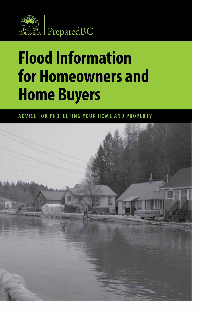

# **Flood Information for Homeowners and Home Buyers**

**ADVICE FOR PROTECTING YOUR HOME AND PROPERTY**

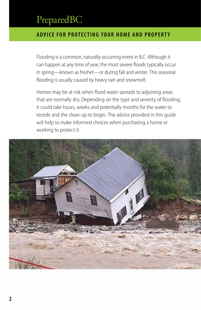### **ADVICE FOR PROTECTING YOUR HOME AND PROPERTY**

Flooding is a common, naturally occurring event in B.C. Although it can happen at any time of year, the most severe floods typically occur in spring—known as freshet—or during fall and winter. This seasonal flooding is usually caused by heavy rain and snowmelt.

Homes may be at risk when flood water spreads to adjoining areas that are normally dry. Depending on the type and severity of flooding, it could take hours, weeks and potentially months for the water to recede and the clean-up to begin. The advice provided in this guide will help to make informed choices when purchasing a home or working to protect it.

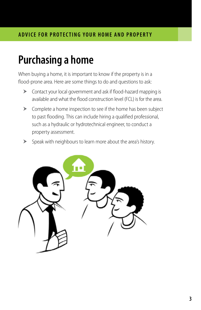# **Purchasing a home**

When buying a home, it is important to know if the property is in a flood-prone area. Here are some things to do and questions to ask:

- Contact your local government and ask if flood-hazard mapping is available and what the flood construction level (FCL) is for the area.
- Complete a home inspection to see if the home has been subject to past flooding. This can include hiring a qualified professional, such as a hydraulic or hydrotechnical engineer, to conduct a property assessment.
- Speak with neighbours to learn more about the area's history.

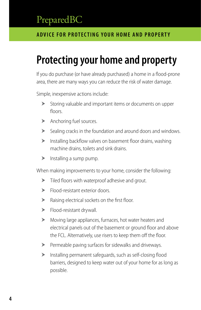### **ADVICE FOR PROTECTING YOUR HOME AND PROPERTY**

# **Protecting your home and property**

If you do purchase (or have already purchased) a home in a flood-prone area, there are many ways you can reduce the risk of water damage.

Simple, inexpensive actions include:

- Storing valuable and important items or documents on upper floors.
- > Anchoring fuel sources.
- Sealing cracks in the foundation and around doors and windows.
- $\blacktriangleright$  Installing backflow valves on basement floor drains, washing machine drains, toilets and sink drains.
- $\blacktriangleright$  Installing a sump pump.

When making improvements to your home, consider the following:

- Tiled floors with waterproof adhesive and grout.
- Flood-resistant exterior doors.
- Raising electrical sockets on the first floor.
- > Flood-resistant drywall.
- Moving large appliances, furnaces, hot water heaters and electrical panels out of the basement or ground floor and above the FCL. Alternatively, use risers to keep them off the floor.
- Permeable paving surfaces for sidewalks and driveways.
- Installing permanent safeguards, such as self-closing flood barriers, designed to keep water out of your home for as long as possible.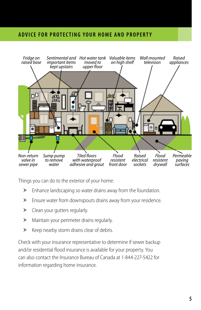### **ADVICE FOR PROTECTING YOUR HOME AND PROPERTY**



Things you can do to the exterior of your home:

- Enhance landscaping so water drains away from the foundation.
- Ensure water from downspouts drains away from your residence.
- **EXECUTE:** Clean your gutters regularly.
- Maintain your perimeter drains regularly.
- $\blacktriangleright$  Keep nearby storm drains clear of debris.

Check with your insurance representative to determine if sewer backup and/or residential flood insurance is available for your property. You can also contact the Insurance Bureau of Canada at 1-844-227-5422 for information regarding home insurance.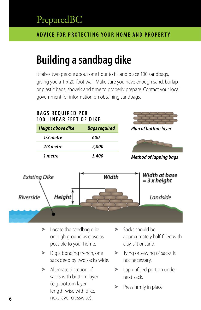### **ADVICE FOR PROTECTING YOUR HOME AND PROPERTY**

# **Building a sandbag dike**

It takes two people about one hour to fill and place 100 sandbags, giving you a 1-x-20-foot wall. Make sure you have enough sand, burlap or plastic bags, shovels and time to properly prepare. Contact your local government for information on obtaining sandbags.

### **BAGS REQUIRED PER 100 LINEAR FEET OF DIKE** *Plan of bottom layer Height above dike Bags required 1/3 metre 600 2/3 metre 2,000 1 metre 3,400 Method of lapping bags*Width at base **Existing Dike** Width  $=$  3 x height Height Riverside *Landside*

- $\blacktriangleright$  Locate the sandbag dike on high ground as close as possible to your home.
- $\triangleright$  Dig a bonding trench, one sack deep by two sacks wide.
- > Alternate direction of sacks with bottom layer (e.g. bottom layer length-wise with dike, next layer crosswise).
- $\blacktriangleright$  Sacks should be approximately half-filled with clay, silt or sand.
- $\blacktriangleright$  Tying or sewing of sacks is not necessary.
- > Lap unfilled portion under next sack.
- $\blacktriangleright$  Press firmly in place.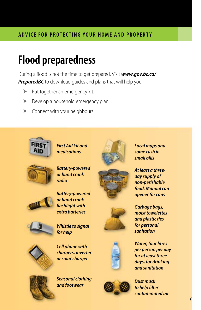### **ADVICE FOR PROTECTING YOUR HOME AND PROPERTY**

# **Flood preparedness**

During a flood is not the time to get prepared. Visit *[www.gov.bc.ca/](http://www.gov.bc.ca/PreparedBC)* **[PreparedBC](http://www.gov.bc.ca/PreparedBC)** to download quides and plans that will help you:

- $\blacktriangleright$  Put together an emergency kit.
- Develop a household emergency plan.
- Connect with your neighbours.



*First Aid kit and medications*



*Battery-powered or hand crank radio*



*Battery-powered or hand crank flashlight with extra batteries*



*Whistle to signal for help*



*Cell phone with chargers, inverter or solar charger*



*Seasonal clothing and footwear*







*Water, four litres per person per day for at least three days, for drinking and sanitation*



*Local maps and some cash in small bills*

*At least a threeday supply of non-perishable food. Manual can opener for cans*

*Garbage bags, moist towelettes and plastic ties for personal sanitation*

*contaminated air*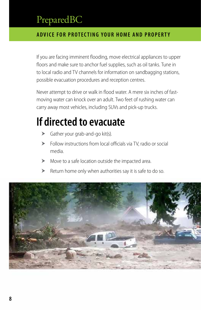### **ADVICE FOR PROTECTING YOUR HOME AND PROPERTY**

If you are facing imminent flooding, move electrical appliances to upper floors and make sure to anchor fuel supplies, such as oil tanks. Tune in to local radio and TV channels for information on sandbagging stations, possible evacuation procedures and reception centres.

Never attempt to drive or walk in flood water. A mere six inches of fastmoving water can knock over an adult. Two feet of rushing water can carry away most vehicles, including SUVs and pick-up trucks.

# **If directed to evacuate**

- Gather your grab-and-go kit(s).
- Follow instructions from local officials via TV, radio or social media.
- Move to a safe location outside the impacted area.
- Return home only when authorities say it is safe to do so.

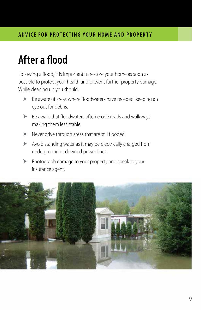# **After a flood**

Following a flood, it is important to restore your home as soon as possible to protect your health and prevent further property damage. While cleaning up you should:

- Be aware of areas where floodwaters have receded, keeping an eye out for debris.
- Be aware that floodwaters often erode roads and walkways, making them less stable.
- Never drive through areas that are still flooded.
- Avoid standing water as it may be electrically charged from underground or downed power lines.
- Photograph damage to your property and speak to your insurance agent.

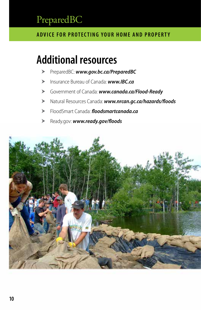### **ADVICE FOR PROTECTING YOUR HOME AND PROPERTY**

# **Additional resources**

- PreparedBC: *[www.gov.bc.ca/PreparedBC](http://www.gov.bc.ca/PreparedBC)*
- Insurance Bureau of Canada: *[www.IBC.ca](http://www.IBC.ca)*
- Government of Canada: *[www.canada.ca/Flood](http://www.canada.ca/Flood-Ready)-Ready*
- Natural Resources Canada: *[www.nrcan.gc.ca/hazards/floods](http://www.nrcan.gc.ca/hazards/floods)*
- FloodSmart Canada: *[floodsmartcanada.ca](http://floodsmartcanada.ca)*
- [Ready.gov](http://Ready.gov): *[www.ready.gov/floods](https://www.ready.gov/floods)*

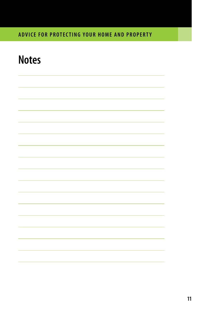### **ADVICE FOR PROTECTING YOUR HOME AND PROPERTY**

# **Notes**